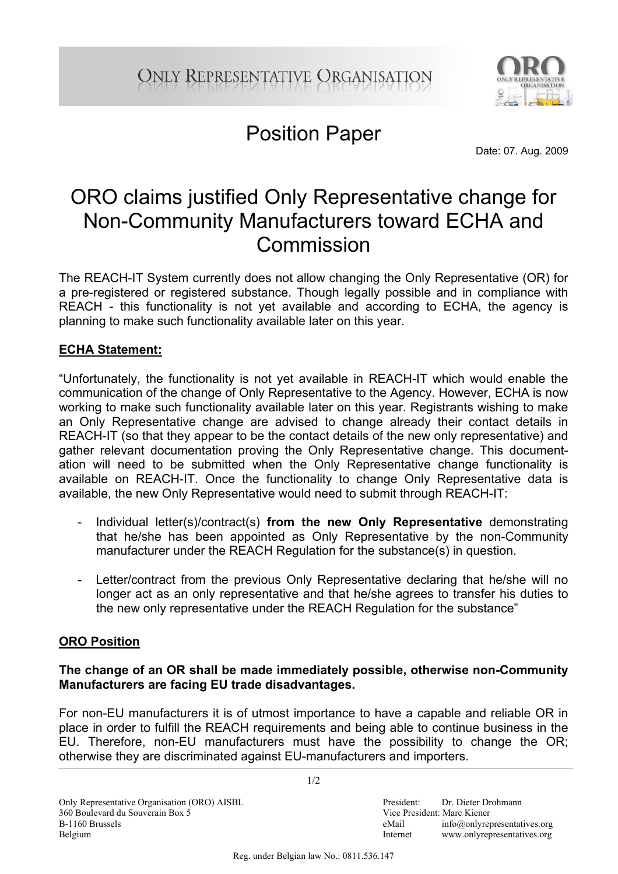

## Position Paper

Date: 07. Aug. 2009

## ORO claims justified Only Representative change for Non-Community Manufacturers toward ECHA and Commission

The REACH-IT System currently does not allow changing the Only Representative (OR) for a pre-registered or registered substance. Though legally possible and in compliance with REACH - this functionality is not yet available and according to ECHA, the agency is planning to make such functionality available later on this year.

### **ECHA Statement:**

"Unfortunately, the functionality is not yet available in REACH-IT which would enable the communication of the change of Only Representative to the Agency. However, ECHA is now working to make such functionality available later on this year. Registrants wishing to make an Only Representative change are advised to change already their contact details in REACH-IT (so that they appear to be the contact details of the new only representative) and gather relevant documentation proving the Only Representative change. This documentation will need to be submitted when the Only Representative change functionality is available on REACH-IT. Once the functionality to change Only Representative data is available, the new Only Representative would need to submit through REACH-IT:

- Individual letter(s)/contract(s) **from the new Only Representative** demonstrating that he/she has been appointed as Only Representative by the non-Community manufacturer under the REACH Regulation for the substance(s) in question.
- Letter/contract from the previous Only Representative declaring that he/she will no longer act as an only representative and that he/she agrees to transfer his duties to the new only representative under the REACH Regulation for the substance"

### **ORO Position**

#### **The change of an OR shall be made immediately possible, otherwise non-Community Manufacturers are facing EU trade disadvantages.**

For non-EU manufacturers it is of utmost importance to have a capable and reliable OR in place in order to fulfill the REACH requirements and being able to continue business in the EU. Therefore, non-EU manufacturers must have the possibility to change the OR; otherwise they are discriminated against EU-manufacturers and importers.

 $1/2$